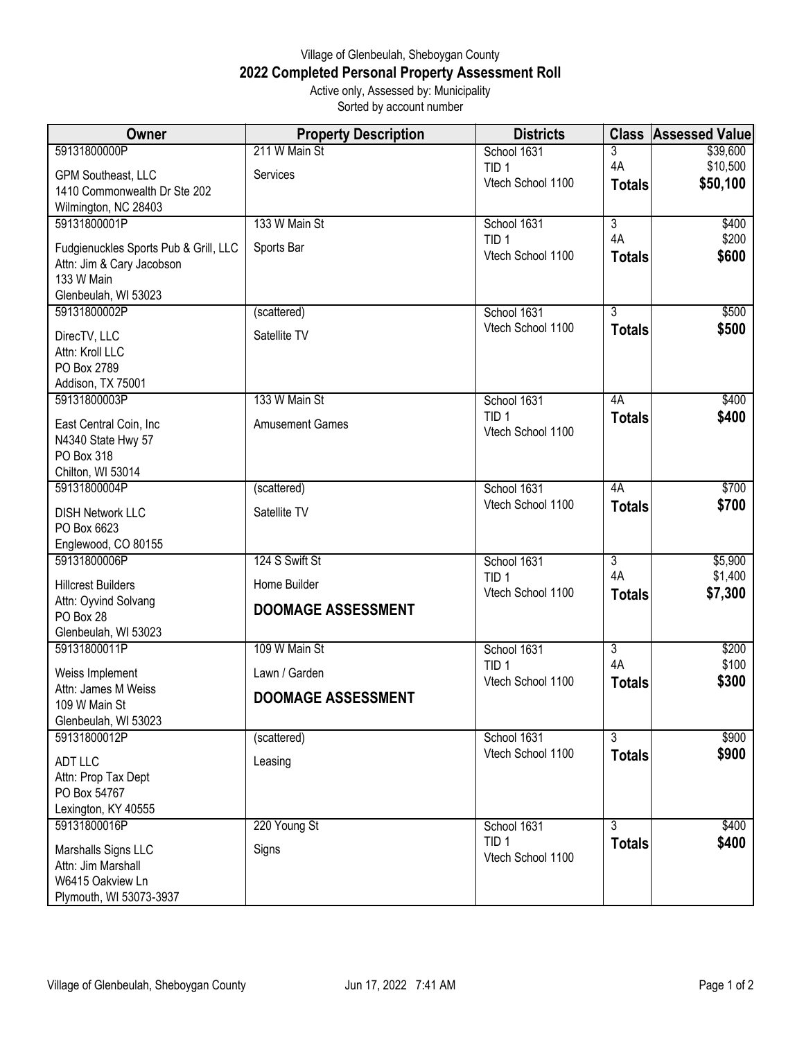## Village of Glenbeulah, Sheboygan County **2022 Completed Personal Property Assessment Roll** Active only, Assessed by: Municipality

Sorted by account number

| <b>Owner</b>                                | <b>Property Description</b> | <b>Districts</b>                      | <b>Class</b>         | <b>Assessed Value</b> |
|---------------------------------------------|-----------------------------|---------------------------------------|----------------------|-----------------------|
| 59131800000P                                | 211 W Main St               | School 1631                           | 3                    | \$39,600              |
| GPM Southeast, LLC                          | Services                    | TID <sub>1</sub>                      | 4A                   | \$10,500              |
| 1410 Commonwealth Dr Ste 202                |                             | Vtech School 1100                     | <b>Totals</b>        | \$50,100              |
| Wilmington, NC 28403                        |                             |                                       |                      |                       |
| 59131800001P                                | 133 W Main St               | School 1631<br>TID <sub>1</sub>       | $\overline{3}$<br>4A | \$400<br>\$200        |
| Fudgienuckles Sports Pub & Grill, LLC       | Sports Bar                  | Vtech School 1100                     | <b>Totals</b>        | \$600                 |
| Attn: Jim & Cary Jacobson                   |                             |                                       |                      |                       |
| 133 W Main<br>Glenbeulah, WI 53023          |                             |                                       |                      |                       |
| 59131800002P                                | (scattered)                 | School 1631                           | $\overline{3}$       | \$500                 |
| DirecTV, LLC                                | Satellite TV                | Vtech School 1100                     | <b>Totals</b>        | \$500                 |
| Attn: Kroll LLC                             |                             |                                       |                      |                       |
| PO Box 2789                                 |                             |                                       |                      |                       |
| Addison, TX 75001                           |                             |                                       |                      |                       |
| 59131800003P                                | 133 W Main St               | School 1631                           | 4A                   | \$400                 |
| East Central Coin, Inc                      | <b>Amusement Games</b>      | TID <sub>1</sub><br>Vtech School 1100 | <b>Totals</b>        | \$400                 |
| N4340 State Hwy 57                          |                             |                                       |                      |                       |
| PO Box 318                                  |                             |                                       |                      |                       |
| Chilton, WI 53014<br>59131800004P           | (scattered)                 | School 1631                           | 4A                   | \$700                 |
|                                             |                             | Vtech School 1100                     | <b>Totals</b>        | \$700                 |
| <b>DISH Network LLC</b><br>PO Box 6623      | Satellite TV                |                                       |                      |                       |
| Englewood, CO 80155                         |                             |                                       |                      |                       |
| 59131800006P                                | 124 S Swift St              | School 1631                           | $\overline{3}$       | \$5,900               |
| <b>Hillcrest Builders</b>                   | Home Builder                | TID <sub>1</sub>                      | 4A                   | \$1,400               |
| Attn: Oyvind Solvang                        |                             | Vtech School 1100                     | <b>Totals</b>        | \$7,300               |
| PO Box 28                                   | <b>DOOMAGE ASSESSMENT</b>   |                                       |                      |                       |
| Glenbeulah, WI 53023                        |                             |                                       |                      |                       |
| 59131800011P                                | 109 W Main St               | School 1631<br>TID <sub>1</sub>       | $\overline{3}$<br>4A | \$200<br>\$100        |
| Weiss Implement                             | Lawn / Garden               | Vtech School 1100                     | <b>Totals</b>        | \$300                 |
| Attn: James M Weiss<br>109 W Main St        | <b>DOOMAGE ASSESSMENT</b>   |                                       |                      |                       |
| Glenbeulah, WI 53023                        |                             |                                       |                      |                       |
| 59131800012P                                | (scattered)                 | School 1631                           | $\overline{3}$       | \$900                 |
| <b>ADT LLC</b>                              | Leasing                     | Vtech School 1100                     | <b>Totals</b>        | \$900                 |
| Attn: Prop Tax Dept                         |                             |                                       |                      |                       |
| PO Box 54767                                |                             |                                       |                      |                       |
| Lexington, KY 40555                         |                             |                                       |                      |                       |
| 59131800016P                                | 220 Young St                | School 1631                           | $\overline{3}$       | \$400                 |
| Marshalls Signs LLC                         | Signs                       | TID <sub>1</sub><br>Vtech School 1100 | <b>Totals</b>        | \$400                 |
| Attn: Jim Marshall                          |                             |                                       |                      |                       |
| W6415 Oakview Ln<br>Plymouth, WI 53073-3937 |                             |                                       |                      |                       |
|                                             |                             |                                       |                      |                       |